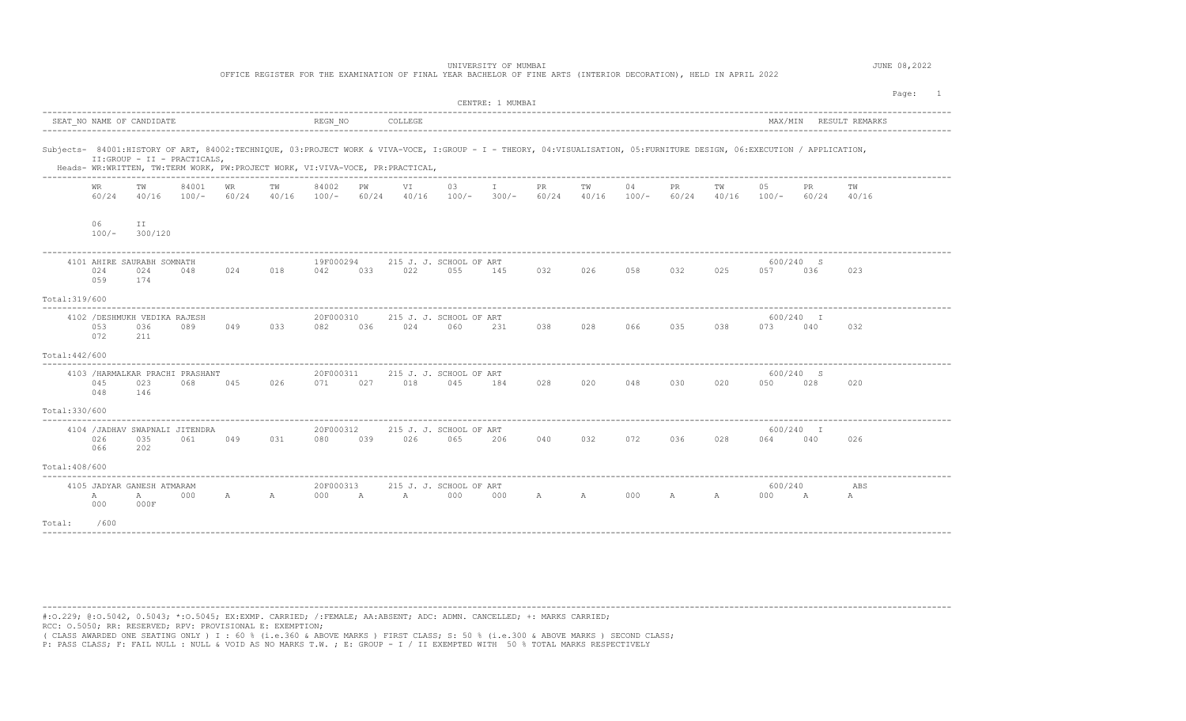|                | UNIVERSITY OF MUMBAI<br>OFFICE REGISTER FOR THE EXAMINATION OF FINAL YEAR BACHELOR OF FINE ARTS (INTERIOR DECORATION), HELD IN APRIL 2022 |                                                |                                               |         |     |                      |     |                                                                               |                                                                                                                                                                        |                               |      |                     |    |             |     | JUNE 08,2022         |     |             |         |
|----------------|-------------------------------------------------------------------------------------------------------------------------------------------|------------------------------------------------|-----------------------------------------------|---------|-----|----------------------|-----|-------------------------------------------------------------------------------|------------------------------------------------------------------------------------------------------------------------------------------------------------------------|-------------------------------|------|---------------------|----|-------------|-----|----------------------|-----|-------------|---------|
|                |                                                                                                                                           |                                                |                                               |         |     |                      |     |                                                                               |                                                                                                                                                                        | CENTRE: 1 MUMBAI              |      |                     |    |             |     |                      |     |             | Page: 1 |
|                |                                                                                                                                           |                                                |                                               |         |     |                      |     |                                                                               |                                                                                                                                                                        |                               |      |                     |    |             |     |                      |     |             |         |
|                |                                                                                                                                           | II:GROUP - II - PRACTICALS,                    |                                               |         |     |                      |     | Heads- WR:WRITTEN, TW:TERM WORK, PW:PROJECT WORK, VI:VIVA-VOCE, PR:PRACTICAL, | Subjects- 84001:HISTORY OF ART, 84002:TECHNIQUE, 03:PROJECT WORK & VIVA-VOCE, I:GROUP - I - THEORY, 04:VISUALISATION, 05:FURNITURE DESIGN, 06:EXECUTION / APPLICATION, |                               |      |                     |    |             |     |                      |     |             |         |
|                | WR<br>60/24                                                                                                                               | ТW                                             | 84001<br>$40/16$ $100/ 60/24$ $40/16$ $100/-$ | WR      | ТW  | 84002                | PW  | VI                                                                            | 03<br>$60/24$ $40/16$ $100/ 300/ 60/24$ $40/16$ $100/ 60/24$ $40/16$ $100/ 60/24$                                                                                      | $\mathbb{I}$ and $\mathbb{I}$ | PR F | TW                  | 04 | PR          | TW  | 05                   | PR  | TW<br>40/16 |         |
|                | 06<br>$100/-$                                                                                                                             | ΙI<br>300/120                                  |                                               |         |     |                      |     |                                                                               |                                                                                                                                                                        |                               |      |                     |    |             |     |                      |     |             |         |
|                | 024<br>059                                                                                                                                | 4101 AHIRE SAURABH SOMNATH<br>024<br>174       | 048                                           | 024 018 |     | 19F000294<br>042     | 033 | 022                                                                           | 215 J. J. SCHOOL OF ART<br>055                                                                                                                                         | 145                           |      | 032 026 058 032     |    |             | 025 | 600/240 S<br>057 036 |     | 023         |         |
| Total: 319/600 |                                                                                                                                           |                                                |                                               |         |     |                      |     |                                                                               |                                                                                                                                                                        |                               |      |                     |    |             |     |                      |     |             |         |
|                | 053<br>072                                                                                                                                | 4102 / DESHMUKH VEDIKA RAJESH<br>036<br>211    | 089                                           | 049     | 033 | 20F000310            |     |                                                                               | 215 J. J. SCHOOL OF ART<br>082 036 024 060 231                                                                                                                         |                               |      | 038 028 066 035 038 |    |             |     | 600/240 I<br>073 040 |     | 032         |         |
| Total: 442/600 |                                                                                                                                           |                                                |                                               |         |     |                      |     |                                                                               |                                                                                                                                                                        |                               |      |                     |    |             |     |                      |     |             |         |
|                | 045<br>048                                                                                                                                | 4103 / HARMALKAR PRACHI PRASHANT<br>023<br>146 | 068                                           | 045     | 026 | 20F000311<br>071     | 027 | 018                                                                           | 215 J. J. SCHOOL OF ART<br>045                                                                                                                                         | 184                           |      | 028 020 048 030     |    |             | 020 | 600/240 S<br>050     | 028 | 020         |         |
| Total: 330/600 |                                                                                                                                           |                                                |                                               |         |     |                      |     |                                                                               |                                                                                                                                                                        |                               |      |                     |    |             |     |                      |     |             |         |
|                | 026<br>066                                                                                                                                | 4104 / JADHAV SWAPNALI JITENDRA<br>035<br>202  | 061                                           | 049     | 031 | 20F000312<br>080 039 |     |                                                                               | 215 J. J. SCHOOL OF ART<br>026 065 206                                                                                                                                 |                               | 040  | 032                 |    | 072 036 028 |     | 600/240 I<br>064 040 |     | 026         |         |
| Total: 408/600 |                                                                                                                                           |                                                |                                               |         |     |                      |     |                                                                               |                                                                                                                                                                        |                               |      |                     |    |             |     |                      |     |             |         |
|                | Α<br>000                                                                                                                                  | 4105 JADYAR GANESH ATMARAM<br>А<br>000F        | 000                                           |         |     | 20F000313            |     | A A 000 A A 000                                                               | 215 J. J. SCHOOL OF ART                                                                                                                                                | 000                           |      | A A 000 A A         |    |             |     | 600/240<br>000 A     |     | ABS<br>A    |         |
| Total:         | /600                                                                                                                                      |                                                |                                               |         |     |                      |     |                                                                               |                                                                                                                                                                        |                               |      |                     |    |             |     |                      |     |             |         |
|                |                                                                                                                                           |                                                |                                               |         |     |                      |     |                                                                               |                                                                                                                                                                        |                               |      |                     |    |             |     |                      |     |             |         |

---------------------------------------------------------------------------------------------------------------------------------------------------------------------------------------- #:O.229; @:O.5042, 0.5043; \*:O.5045; EX:EXMP. CARRIED; /:FEMALE; AA:ABSENT; ADC: ADMN. CANCELLED; +: MARKS CARRIED; RCC: O.5050; RR: RESERVED; RPV: PROVISIONAL E: EXEMPTION;

( CLASS AWARDED ONE SEATING ONLY ) I : 60 % (i.e.360 & ABOVE MARKS ) FIRST CLASS; S: 50 % (i.e.300 & ABOVE MARKS ) SECOND CLASS;

P: PASS CLASS; F: FAIL NULL : NULL & VOID AS NO MARKS T.W. ; E: GROUP - I / II EXEMPTED WITH 50 % TOTAL MARKS RESPECTIVELY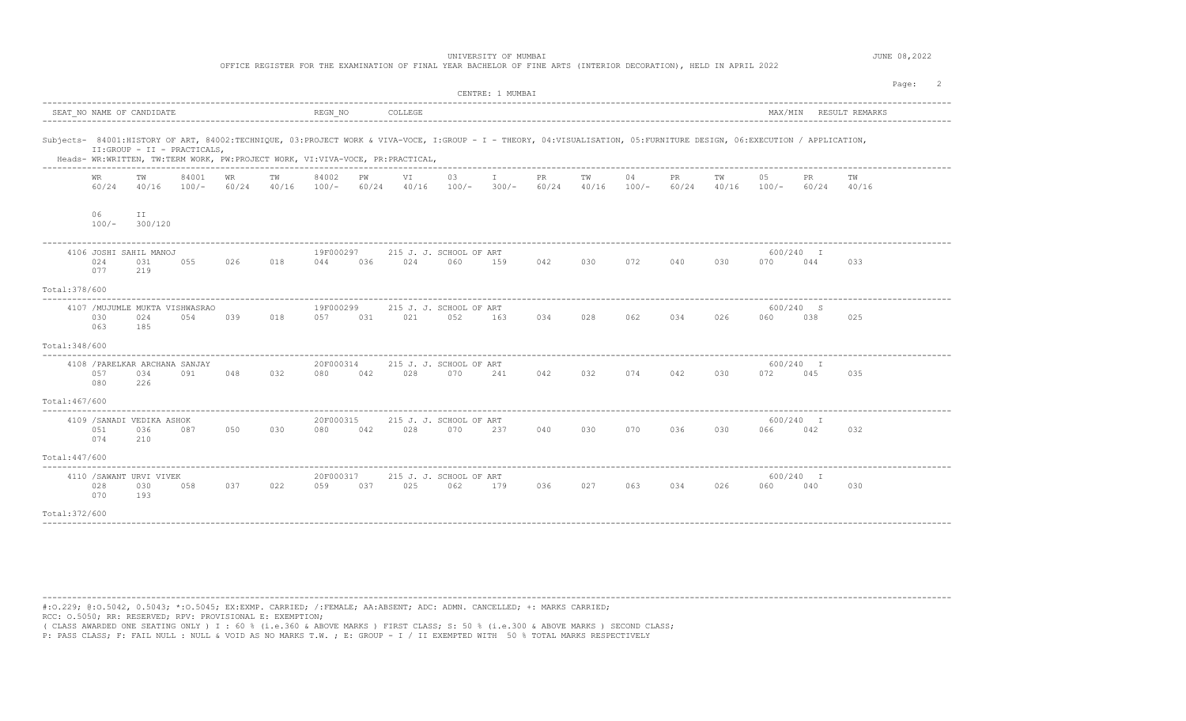|                | UNIVERSITY OF MUMBAI<br>OFFICE REGISTER FOR THE EXAMINATION OF FINAL YEAR BACHELOR OF FINE ARTS (INTERIOR DECORATION), HELD IN APRIL 2022 |                                                                                                              |       |             |             |                  |     |                 |                                                                                                                                                                        |                  |         |             |         |             |                               | JUNE 08,2022         |                  |                        |         |  |
|----------------|-------------------------------------------------------------------------------------------------------------------------------------------|--------------------------------------------------------------------------------------------------------------|-------|-------------|-------------|------------------|-----|-----------------|------------------------------------------------------------------------------------------------------------------------------------------------------------------------|------------------|---------|-------------|---------|-------------|-------------------------------|----------------------|------------------|------------------------|---------|--|
|                |                                                                                                                                           |                                                                                                              |       |             |             |                  |     |                 |                                                                                                                                                                        | CENTRE: 1 MUMBAI |         |             |         |             |                               |                      |                  |                        | Page: 2 |  |
|                |                                                                                                                                           | SEAT NO NAME OF CANDIDATE                                                                                    |       |             |             | REGN NO          |     | COLLEGE         |                                                                                                                                                                        |                  |         |             |         |             |                               |                      |                  | MAX/MIN RESULT REMARKS |         |  |
|                |                                                                                                                                           | II:GROUP - II - PRACTICALS,<br>Heads- WR:WRITTEN, TW:TERM WORK, PW:PROJECT WORK, VI:VIVA-VOCE, PR:PRACTICAL, |       |             |             |                  |     |                 | Subjects- 84001:HISTORY OF ART, 84002:TECHNIQUE, 03:PROJECT WORK & VIVA-VOCE, I:GROUP - I - THEORY, 04:VISUALISATION, 05:FURNITURE DESIGN, 06:EXECUTION / APPLICATION, |                  |         |             |         |             |                               |                      |                  |                        |         |  |
|                | WR<br>60/24                                                                                                                               | TW<br>$40/16$ $100/-$                                                                                        | 84001 | WR<br>60/24 | ТW<br>40/16 | 84002<br>$100/-$ | PW  | VI              | 03<br>$60/24$ $40/16$ $100/ 300/ 60/24$ $40/16$ $100/-$                                                                                                                | $\mathbf{I}$     | PR      | TW          | 04      | PR.         | ТW<br>$60/24$ $40/16$ $100/-$ | 05                   | PR<br>60/24      | TW<br>40/16            |         |  |
|                | 06<br>$100/-$                                                                                                                             | ΙI<br>300/120                                                                                                |       |             |             |                  |     |                 |                                                                                                                                                                        |                  |         |             |         |             |                               |                      |                  |                        |         |  |
|                | 024<br>077                                                                                                                                | 4106 JOSHI SAHIL MANOJ<br>031<br>219                                                                         | 055   | 026         | 018         | 19F000297<br>044 | 036 | 024             | 215 J. J. SCHOOL OF ART<br>060                                                                                                                                         | 159              | 042     | 030 072 040 |         |             | 030                           | 070                  | 600/240 I<br>044 | 033                    |         |  |
| Total: 378/600 |                                                                                                                                           |                                                                                                              |       |             |             |                  |     |                 |                                                                                                                                                                        |                  |         |             |         |             |                               |                      |                  |                        |         |  |
|                | 030<br>063                                                                                                                                | 4107 / MUJUMLE MUKTA VISHWASRAO<br>024<br>185                                                                | 054   | 039         | 018         | 19F000299        |     | 057 031 021 052 | 215 J. J. SCHOOL OF ART                                                                                                                                                | 163              | 034     | 028         | 062     | 034         | 026                           | 060                  | 600/240 S<br>038 | 025                    |         |  |
| Total: 348/600 |                                                                                                                                           |                                                                                                              |       |             |             |                  |     |                 |                                                                                                                                                                        |                  |         |             |         |             |                               |                      |                  |                        |         |  |
|                | 057<br>080                                                                                                                                | 4108 / PARELKAR ARCHANA SANJAY<br>034<br>226                                                                 | 091   | 048         | 032         | 20F000314<br>080 | 042 | 028             | 215 J. J. SCHOOL OF ART<br>070                                                                                                                                         | 241              | 042     | 032         | 074 042 |             | 030                           | 072                  | 600/240 I<br>045 | 035                    |         |  |
| Total: 467/600 |                                                                                                                                           |                                                                                                              |       |             |             |                  |     |                 |                                                                                                                                                                        |                  |         |             |         |             |                               |                      |                  |                        |         |  |
|                | 051<br>074                                                                                                                                | 4109 / SANADI VEDIKA ASHOK<br>036<br>210                                                                     | 087   | 050         | 030         | 20F000315<br>080 | 042 | 028             | 215 J. J. SCHOOL OF ART<br>070                                                                                                                                         | 237              | 040     | 030         | 070 070 | 036         | 030                           | 600/240 I<br>066 042 |                  | 032                    |         |  |
| Total: 447/600 |                                                                                                                                           |                                                                                                              |       |             |             |                  |     |                 |                                                                                                                                                                        |                  |         |             |         |             |                               |                      |                  |                        |         |  |
|                | 028<br>070                                                                                                                                | 4110 / SAWANT URVI VIVEK<br>030<br>193                                                                       | 058   | 037         | 022         | 20F000317<br>059 | 037 |                 | 215 J. J. SCHOOL OF ART<br>025 062                                                                                                                                     | 179              | 036 027 |             |         | 063 034 026 |                               | 060                  | 600/240 I<br>040 | 030                    |         |  |
| Total: 372/600 |                                                                                                                                           |                                                                                                              |       |             |             |                  |     |                 |                                                                                                                                                                        |                  |         |             |         |             |                               |                      |                  |                        |         |  |
|                |                                                                                                                                           |                                                                                                              |       |             |             |                  |     |                 |                                                                                                                                                                        |                  |         |             |         |             |                               |                      |                  |                        |         |  |

----------------------------------------------------------------------------------------------------------------------------------------------------------------------------------------

#:O.229; @:O.5042, 0.5043; \*:O.5045; EX:EXMP. CARRIED; /:FEMALE; AA:ABSENT; ADC: ADMN. CANCELLED; +: MARKS CARRIED; RCC: O.5050; RR: RESERVED; RPV: PROVISIONAL E: EXEMPTION;

( CLASS AWARDED ONE SEATING ONLY ) I : 60 % (i.e.360 & ABOVE MARKS ) FIRST CLASS; S: 50 % (i.e.300 & ABOVE MARKS ) SECOND CLASS;<br>P: PASS CLASS; F: FAIL NULL : NULL & VOID AS NO MARKS T.W. ; E: GROUP - I / II EXEMPTED WITH